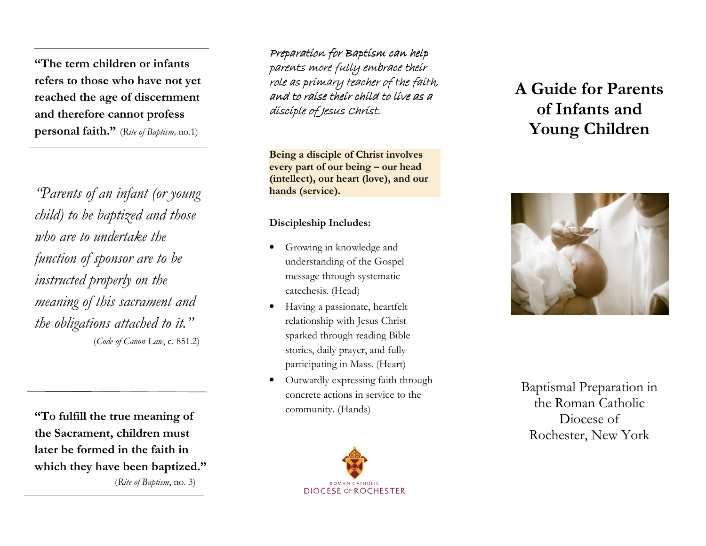"The term children or infants refers to those who have not yet reached the age of discernment and therefore cannot profess **personal faith."** (Rite of Baptism, no.1)

"Parents of an infant (or young child) to be baptized and those who are to undertake the function of sponsor are to be instructed properly on the meaning of this sacrament and the obligations attached to it." (Code of Canon Law, c. 851.2)

"To fulfill the true meaning of the Sacrament, children must later be formed in the faith in which they have been baptized." (Rite of Baptism, no. 3)

Preparation for Baptism can help<br>cannots mana full can heape their parents more fully embrace their role as primary teacher of the faith, and to raíse their child to live as a disciple of Jesus Christ.

Being a disciple of Christ involves every part of our being – our head (intellect), our heart (love), and our hands (service).

#### Discipleship Includes:

- • Growing in knowledge and understanding of the Gospel message through systematic catechesis. (Head)
- • Having a passionate, heartfelt relationship with Jesus Christ sparked through reading Bible stories, daily prayer, and fully participating in Mass. (Heart)
- • Outwardly expressing faith through concrete actions in service to the community. (Hands)



# A Guide for Parents of Infants and Young Children



Baptismal Preparation in the Roman Catholic Diocese of Rochester, New York